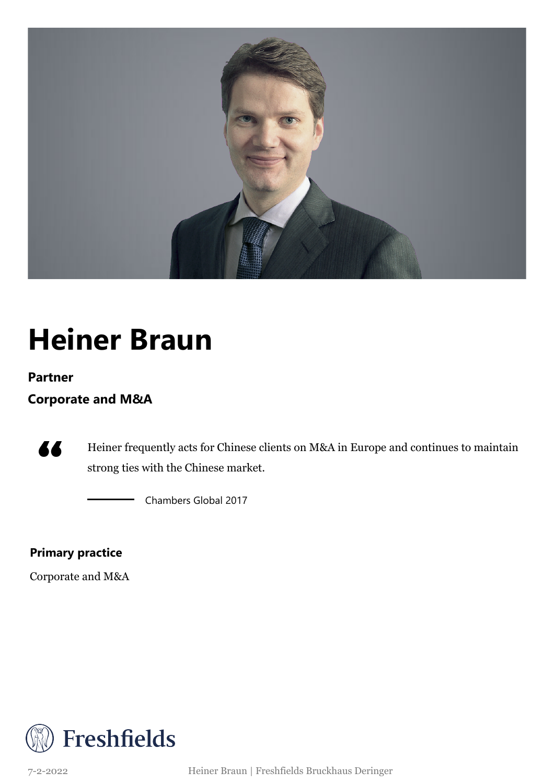

### **Heiner Braun**

#### **Partner**

### **Corporate and M&A**



Heiner frequently acts for Chinese clients on M&A in Europe and continues to maintain strong ties with the Chinese market.

Chambers Global 2017

### **Primary practice**

Corporate and M&A



7-2-2022 Heiner Braun | Freshfields Bruckhaus Deringer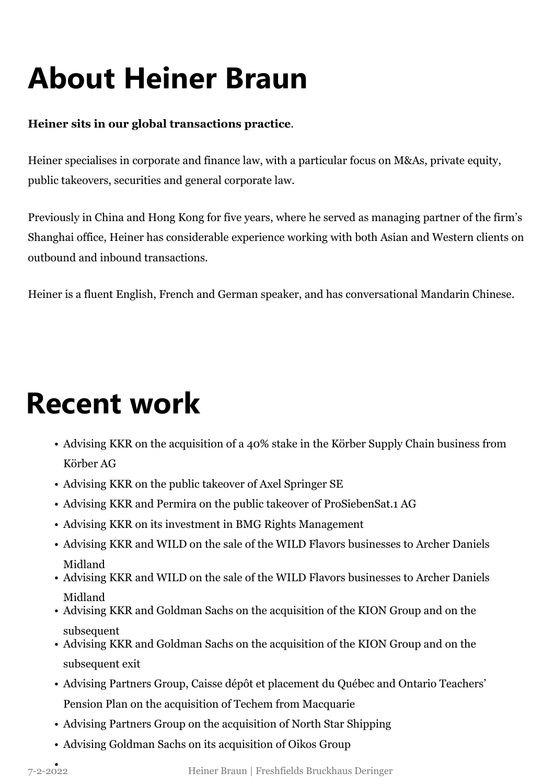# **About Heiner Braun**

### **Heiner sits in our global transactions practice**.

Heiner specialises in corporate and finance law, with a particular focus on M&As, private equity, public takeovers, securities and general corporate law.

Previously in China and Hong Kong for five years, where he served as managing partner of the firm's Shanghai office, Heiner has considerable experience working with both Asian and Western clients on outbound and inbound transactions.

Heiner is a fluent English, French and German speaker, and has conversational Mandarin Chinese.

### **Recent work**

- Advising KKR on the acquisition of a 40% stake in the Körber Supply Chain business from Körber AG
- Advising KKR on the public takeover of Axel Springer SE
- Advising KKR and Permira on the public takeover of ProSiebenSat.1 AG
- Advising KKR on its investment in BMG Rights Management
- Advising KKR and WILD on the sale of the WILD Flavors businesses to Archer Daniels Midland
- Advising KKR and WILD on the sale of the WILD Flavors businesses to Archer Daniels Midland
- Advising KKR and Goldman Sachs on the acquisition of the KION Group and on the subsequent
- Advising KKR and Goldman Sachs on the acquisition of the KION Group and on the subsequent exit
- Advising Partners Group, Caisse dépôt et placement du Québec and Ontario Teachers' Pension Plan on the acquisition of Techem from Macquarie
- Advising Partners Group on the acquisition of North Star Shipping
- Advising Goldman Sachs on its acquisition of Oikos Group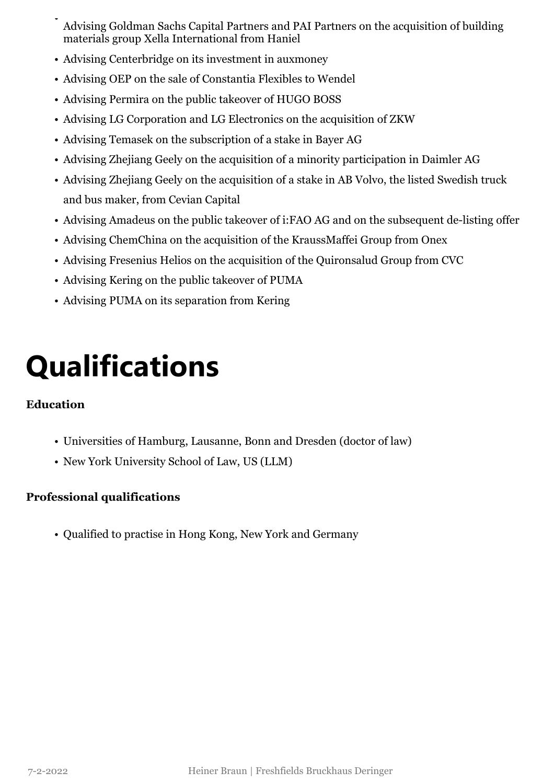- Advising Goldman Sachs Capital Partners and PAI Partners on the acquisition of building materials group Xella International from Haniel •
- Advising Centerbridge on its investment in auxmoney
- Advising OEP on the sale of Constantia Flexibles to Wendel
- Advising Permira on the public takeover of HUGO BOSS
- Advising LG Corporation and LG Electronics on the acquisition of ZKW
- Advising Temasek on the subscription of a stake in Bayer AG
- Advising Zhejiang Geely on the acquisition of a minority participation in Daimler AG
- Advising Zhejiang Geely on the acquisition of a stake in AB Volvo, the listed Swedish truck and bus maker, from Cevian Capital
- Advising Amadeus on the public takeover of i:FAO AG and on the subsequent de-listing offer
- Advising ChemChina on the acquisition of the KraussMaffei Group from Onex
- Advising Fresenius Helios on the acquisition of the Quironsalud Group from CVC
- Advising Kering on the public takeover of PUMA
- Advising PUMA on its separation from Kering

## **Qualifications**

#### **Education**

- Universities of Hamburg, Lausanne, Bonn and Dresden (doctor of law)
- New York University School of Law, US (LLM)

### **Professional qualifications**

• Qualified to practise in Hong Kong, New York and Germany